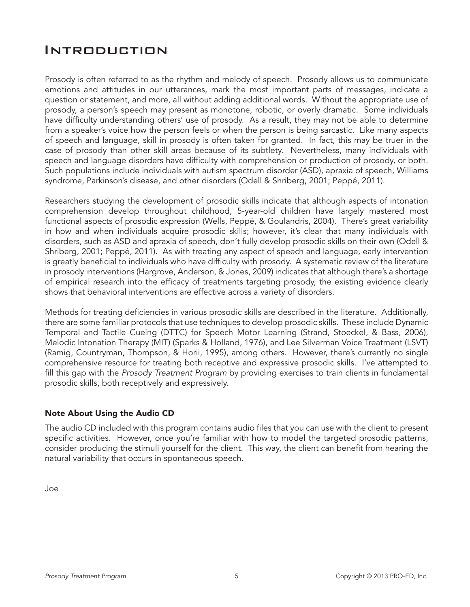## Introduction

Prosody is often referred to as the rhythm and melody of speech. Prosody allows us to communicate emotions and attitudes in our utterances, mark the most important parts of messages, indicate a question or statement, and more, all without adding additional words. Without the appropriate use of prosody, a person's speech may present as monotone, robotic, or overly dramatic. Some individuals have difficulty understanding others' use of prosody. As a result, they may not be able to determine from a speaker's voice how the person feels or when the person is being sarcastic. Like many aspects of speech and language, skill in prosody is often taken for granted. In fact, this may be truer in the case of prosody than other skill areas because of its subtlety. Nevertheless, many individuals with speech and language disorders have difficulty with comprehension or production of prosody, or both. Such populations include individuals with autism spectrum disorder (ASD), apraxia of speech, Williams syndrome, Parkinson's disease, and other disorders (Odell & Shriberg, 2001; Peppé, 2011).

Researchers studying the development of prosodic skills indicate that although aspects of intonation comprehension develop throughout childhood, 5-year-old children have largely mastered most functional aspects of prosodic expression (Wells, Peppé, & Goulandris, 2004). There's great variability in how and when individuals acquire prosodic skills; however, it's clear that many individuals with disorders, such as ASD and apraxia of speech, don't fully develop prosodic skills on their own (Odell & Shriberg, 2001; Peppé, 2011). As with treating any aspect of speech and language, early intervention is greatly beneficial to individuals who have difficulty with prosody. A systematic review of the literature in prosody interventions (Hargrove, Anderson, & Jones, 2009) indicates that although there's a shortage of empirical research into the efficacy of treatments targeting prosody, the existing evidence clearly shows that behavioral interventions are effective across a variety of disorders.

Methods for treating deficiencies in various prosodic skills are described in the literature. Additionally, there are some familiar protocols that use techniques to develop prosodic skills. These include Dynamic Temporal and Tactile Cueing (DTTC) for Speech Motor Learning (Strand, Stoeckel, & Bass, 2006), Melodic Intonation Therapy (MIT) (Sparks & Holland, 1976), and Lee Silverman Voice Treatment (LSVT) (Ramig, Countryman, Thompson, & Horii, 1995), among others. However, there's currently no single comprehensive resource for treating both receptive and expressive prosodic skills. I've attempted to fill this gap with the *Prosody Treatment Program* by providing exercises to train clients in fundamental prosodic skills, both receptively and expressively.

#### Note About Using the Audio CD

The audio CD included with this program contains audio files that you can use with the client to present specific activities. However, once you're familiar with how to model the targeted prosodic patterns, consider producing the stimuli yourself for the client. This way, the client can benefit from hearing the natural variability that occurs in spontaneous speech.

Joe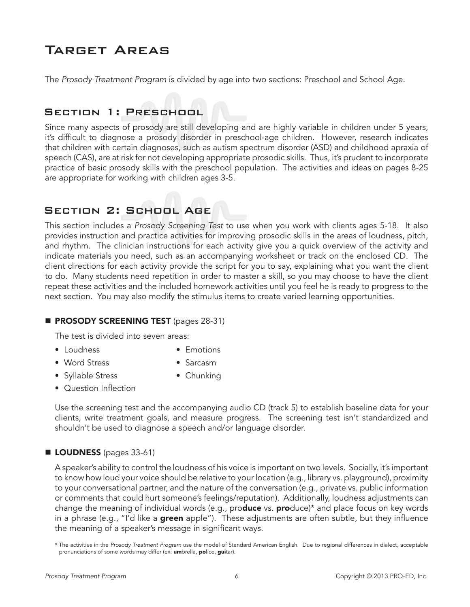# Target Areas

The *Prosody Treatment Program* is divided by age into two sections: Preschool and School Age.

### Section 1: Preschool

Since many aspects of prosody are still developing and are highly variable in children under 5 years, it's difficult to diagnose a prosody disorder in preschool-age children. However, research indicates that children with certain diagnoses, such as autism spectrum disorder (ASD) and childhood apraxia of speech (CAS), are at risk for not developing appropriate prosodic skills. Thus, it's prudent to incorporate practice of basic prosody skills with the preschool population. The activities and ideas on pages 8-25 are appropriate for working with children ages 3-5.

## Section 2: School Age

This section includes a *Prosody Screening Test* to use when you work with clients ages 5-18. It also provides instruction and practice activities for improving prosodic skills in the areas of loudness, pitch, and rhythm. The clinician instructions for each activity give you a quick overview of the activity and indicate materials you need, such as an accompanying worksheet or track on the enclosed CD. The client directions for each activity provide the script for you to say, explaining what you want the client to do. Many students need repetition in order to master a skill, so you may choose to have the client repeat these activities and the included homework activities until you feel he is ready to progress to the next section. You may also modify the stimulus items to create varied learning opportunities.

#### **PROSODY SCREENING TEST** (pages 28-31)

The test is divided into seven areas:

- Loudness Emotions
- Word Stress Sarcasm
- Syllable Stress Chunking
	-
- Question Inflection

Use the screening test and the accompanying audio CD (track 5) to establish baseline data for your clients, write treatment goals, and measure progress. The screening test isn't standardized and shouldn't be used to diagnose a speech and/or language disorder.

#### **LOUDNESS** (pages 33-61)

A speaker's ability to control the loudness of his voice is important on two levels. Socially, it's important to know how loud your voice should be relative to your location (e.g., library vs. playground), proximity to your conversational partner, and the nature of the conversation (e.g., private vs. public information or comments that could hurt someone's feelings/reputation). Additionally, loudness adjustments can change the meaning of individual words (e.g., pro**duce** vs. **pro**duce)\* and place focus on key words in a phrase (e.g., "I'd like a **green** apple"). These adjustments are often subtle, but they influence the meaning of a speaker's message in significant ways.

<sup>\*</sup> The activities in the *Prosody Treatment Program* use the model of Standard American English. Due to regional differences in dialect, acceptable pronunciations of some words may differ (ex: umbrella, police, guitar).